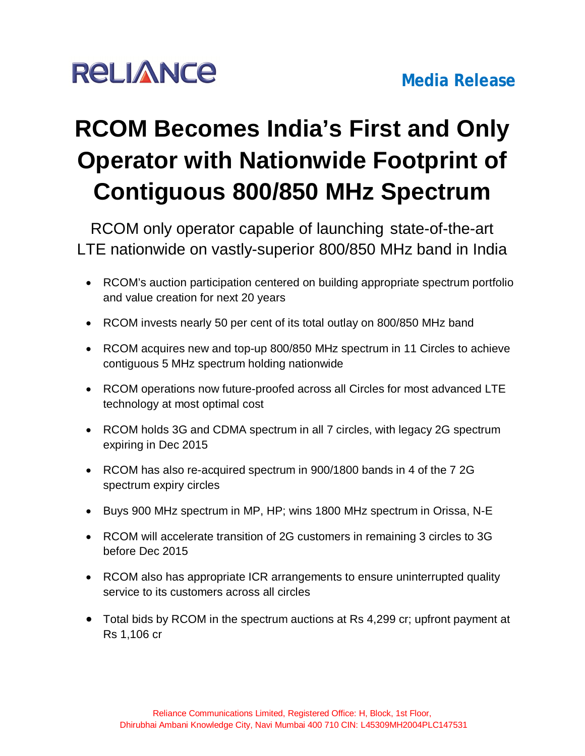## **RCOM Becomes India's First and Only Operator with Nationwide Footprint of Contiguous 800/850 MHz Spectrum**

RCOM only operator capable of launching state-of-the-art LTE nationwide on vastly-superior 800/850 MHz band in India

- RCOM's auction participation centered on building appropriate spectrum portfolio and value creation for next 20 years
- RCOM invests nearly 50 per cent of its total outlay on 800/850 MHz band
- RCOM acquires new and top-up 800/850 MHz spectrum in 11 Circles to achieve contiguous 5 MHz spectrum holding nationwide
- RCOM operations now future-proofed across all Circles for most advanced LTE technology at most optimal cost
- RCOM holds 3G and CDMA spectrum in all 7 circles, with legacy 2G spectrum expiring in Dec 2015
- RCOM has also re-acquired spectrum in 900/1800 bands in 4 of the 7 2G spectrum expiry circles
- Buys 900 MHz spectrum in MP, HP; wins 1800 MHz spectrum in Orissa, N-E
- RCOM will accelerate transition of 2G customers in remaining 3 circles to 3G before Dec 2015
- RCOM also has appropriate ICR arrangements to ensure uninterrupted quality service to its customers across all circles
- Total bids by RCOM in the spectrum auctions at Rs 4,299 cr; upfront payment at Rs 1,106 cr